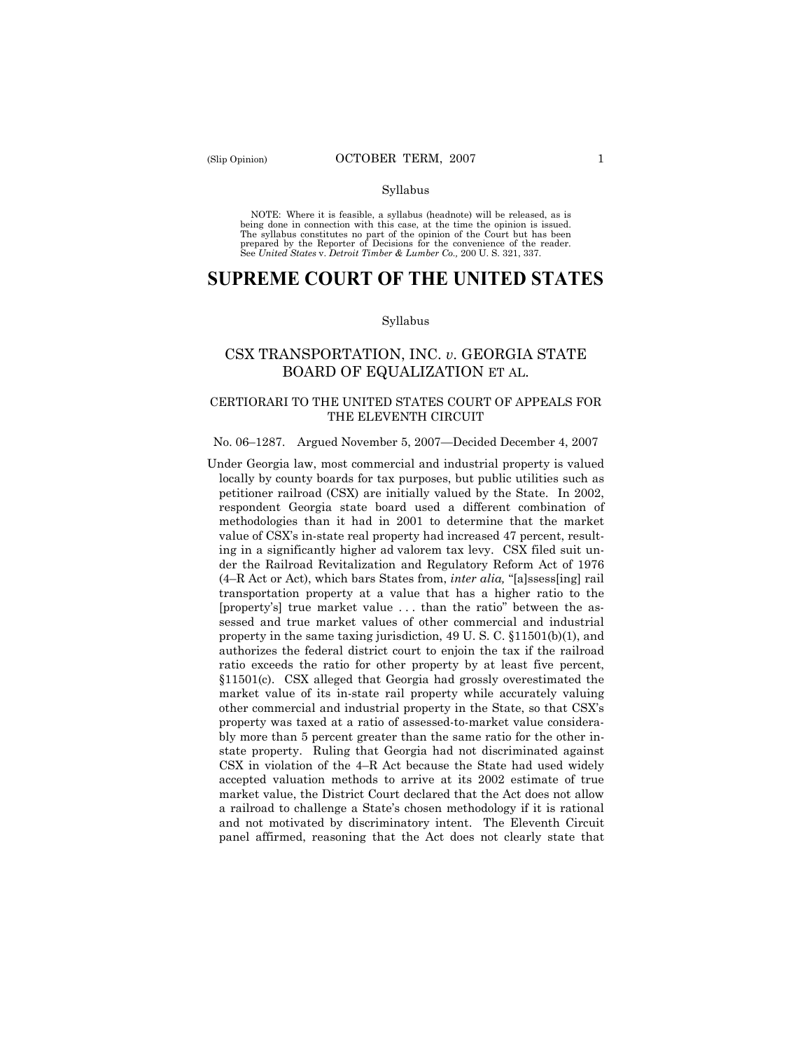#### Syllabus

NOTE: Where it is feasible, a syllabus (headnote) will be released, as is being done in connection with this case, at the time the opinion is issued. The syllabus constitutes no part of the opinion of the Court but has been<br>prepared by the Reporter of Decisions for the convenience of the reader.<br>See United States v. Detroit Timber & Lumber Co., 200 U. S. 321, 337.

# **SUPREME COURT OF THE UNITED STATES**

#### Syllabus

# CSX TRANSPORTATION, INC. *v*. GEORGIA STATE BOARD OF EQUALIZATION ET AL.

# CERTIORARI TO THE UNITED STATES COURT OF APPEALS FOR THE ELEVENTH CIRCUIT

#### No. 06–1287. Argued November 5, 2007—Decided December 4, 2007

Under Georgia law, most commercial and industrial property is valued locally by county boards for tax purposes, but public utilities such as petitioner railroad (CSX) are initially valued by the State. In 2002, respondent Georgia state board used a different combination of methodologies than it had in 2001 to determine that the market value of CSX's in-state real property had increased 47 percent, resulting in a significantly higher ad valorem tax levy. CSX filed suit under the Railroad Revitalization and Regulatory Reform Act of 1976 (4–R Act or Act), which bars States from, *inter alia,* "[a]ssess[ing] rail transportation property at a value that has a higher ratio to the [property's] true market value . . . than the ratio" between the assessed and true market values of other commercial and industrial property in the same taxing jurisdiction, 49 U. S. C. §11501(b)(1), and authorizes the federal district court to enjoin the tax if the railroad ratio exceeds the ratio for other property by at least five percent, §11501(c). CSX alleged that Georgia had grossly overestimated the market value of its in-state rail property while accurately valuing other commercial and industrial property in the State, so that CSX's property was taxed at a ratio of assessed-to-market value considerably more than 5 percent greater than the same ratio for the other instate property. Ruling that Georgia had not discriminated against CSX in violation of the 4–R Act because the State had used widely accepted valuation methods to arrive at its 2002 estimate of true market value, the District Court declared that the Act does not allow a railroad to challenge a State's chosen methodology if it is rational and not motivated by discriminatory intent. The Eleventh Circuit panel affirmed, reasoning that the Act does not clearly state that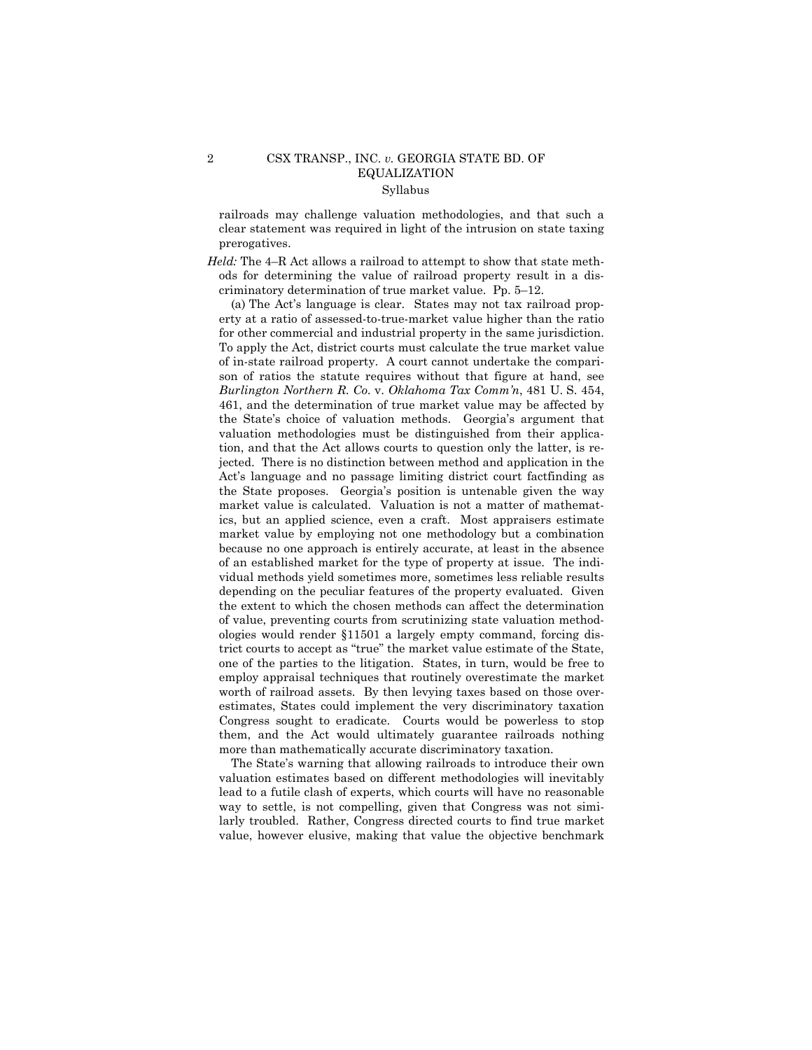# 2 CSX TRANSP., INC. *v.* GEORGIA STATE BD. OF EQUALIZATION Syllabus

railroads may challenge valuation methodologies, and that such a clear statement was required in light of the intrusion on state taxing prerogatives.

*Held:* The 4–R Act allows a railroad to attempt to show that state methods for determining the value of railroad property result in a discriminatory determination of true market value. Pp. 5–12.

 (a) The Act's language is clear. States may not tax railroad property at a ratio of assessed-to-true-market value higher than the ratio for other commercial and industrial property in the same jurisdiction. To apply the Act, district courts must calculate the true market value of in-state railroad property. A court cannot undertake the comparison of ratios the statute requires without that figure at hand, see *Burlington Northern R. Co.* v. *Oklahoma Tax Comm'n*, 481 U. S. 454, 461, and the determination of true market value may be affected by the State's choice of valuation methods. Georgia's argument that valuation methodologies must be distinguished from their application, and that the Act allows courts to question only the latter, is rejected. There is no distinction between method and application in the Act's language and no passage limiting district court factfinding as the State proposes. Georgia's position is untenable given the way market value is calculated. Valuation is not a matter of mathematics, but an applied science, even a craft. Most appraisers estimate market value by employing not one methodology but a combination because no one approach is entirely accurate, at least in the absence of an established market for the type of property at issue. The individual methods yield sometimes more, sometimes less reliable results depending on the peculiar features of the property evaluated. Given the extent to which the chosen methods can affect the determination of value, preventing courts from scrutinizing state valuation methodologies would render §11501 a largely empty command, forcing district courts to accept as "true" the market value estimate of the State, one of the parties to the litigation. States, in turn, would be free to employ appraisal techniques that routinely overestimate the market worth of railroad assets. By then levying taxes based on those overestimates, States could implement the very discriminatory taxation Congress sought to eradicate. Courts would be powerless to stop them, and the Act would ultimately guarantee railroads nothing more than mathematically accurate discriminatory taxation.

 The State's warning that allowing railroads to introduce their own valuation estimates based on different methodologies will inevitably lead to a futile clash of experts, which courts will have no reasonable way to settle, is not compelling, given that Congress was not similarly troubled. Rather, Congress directed courts to find true market value, however elusive, making that value the objective benchmark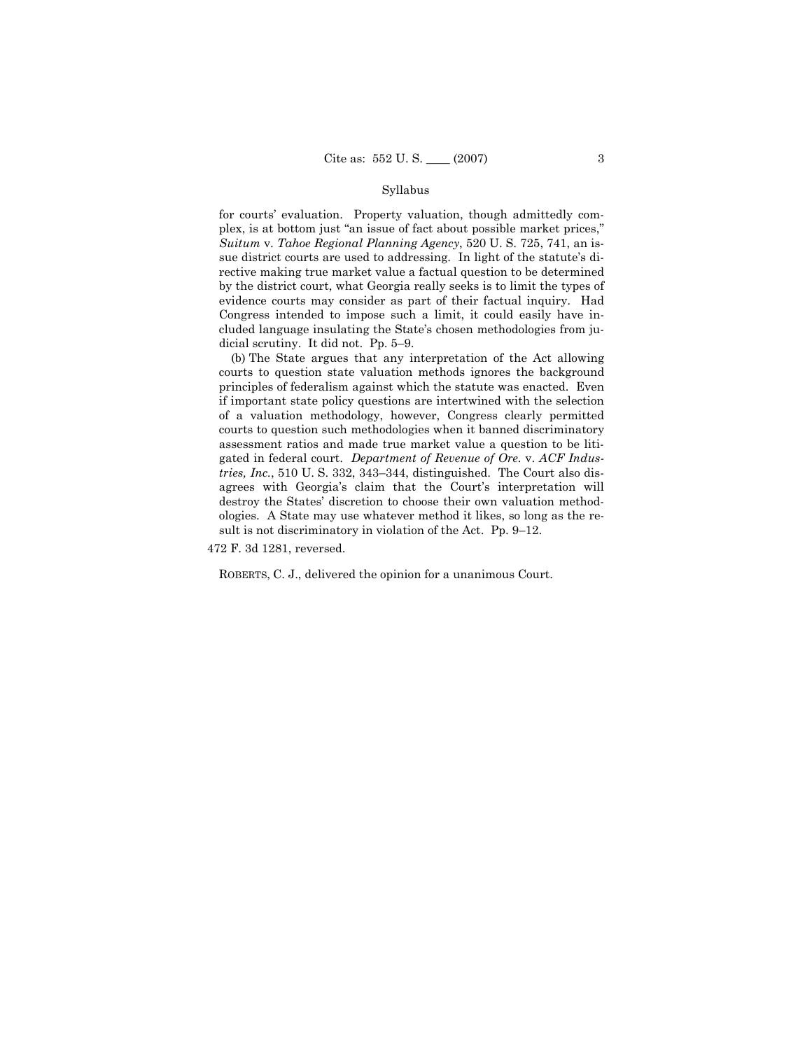### Syllabus

for courts' evaluation. Property valuation, though admittedly complex, is at bottom just "an issue of fact about possible market prices," *Suitum* v. *Tahoe Regional Planning Agency*, 520 U. S. 725, 741, an issue district courts are used to addressing. In light of the statute's directive making true market value a factual question to be determined by the district court, what Georgia really seeks is to limit the types of evidence courts may consider as part of their factual inquiry. Had Congress intended to impose such a limit, it could easily have included language insulating the State's chosen methodologies from judicial scrutiny. It did not. Pp. 5–9.

 (b) The State argues that any interpretation of the Act allowing courts to question state valuation methods ignores the background principles of federalism against which the statute was enacted. Even if important state policy questions are intertwined with the selection of a valuation methodology, however, Congress clearly permitted courts to question such methodologies when it banned discriminatory assessment ratios and made true market value a question to be litigated in federal court. *Department of Revenue of Ore.* v. *ACF Industries, Inc.*, 510 U. S. 332, 343–344, distinguished. The Court also disagrees with Georgia's claim that the Court's interpretation will destroy the States' discretion to choose their own valuation methodologies. A State may use whatever method it likes, so long as the result is not discriminatory in violation of the Act. Pp. 9–12.

472 F. 3d 1281, reversed.

ROBERTS, C. J., delivered the opinion for a unanimous Court.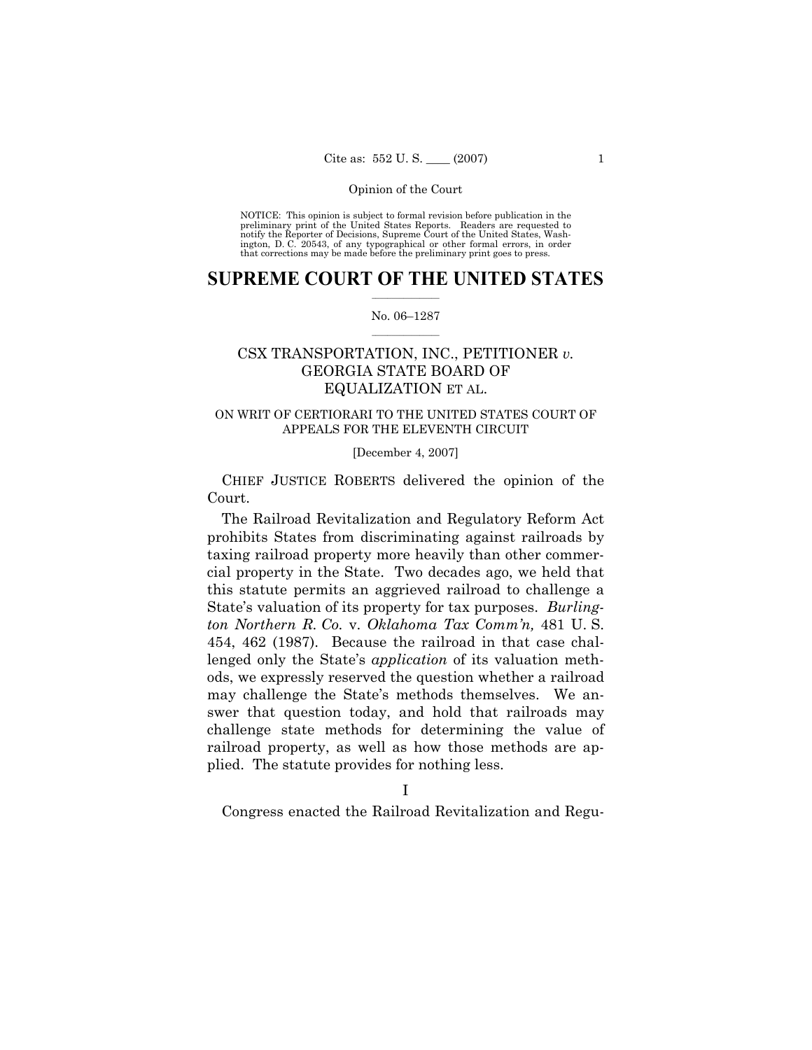NOTICE: This opinion is subject to formal revision before publication in the preliminary print of the United States Reports. Readers are requested to notify the Reporter of Decisions, Supreme Court of the United States, Washington, D. C. 20543, of any typographical or other formal errors, in order that corrections may be made before the preliminary print goes to press.

## **SUPREME COURT OF THE UNITED STATES**  $\frac{1}{2}$  , where  $\frac{1}{2}$

### No. 06–1287  $\frac{1}{2}$  ,  $\frac{1}{2}$  ,  $\frac{1}{2}$  ,  $\frac{1}{2}$  ,  $\frac{1}{2}$  ,  $\frac{1}{2}$

# CSX TRANSPORTATION, INC., PETITIONER *v.* GEORGIA STATE BOARD OF EQUALIZATION ET AL.

# ON WRIT OF CERTIORARI TO THE UNITED STATES COURT OF APPEALS FOR THE ELEVENTH CIRCUIT

### [December 4, 2007]

 CHIEF JUSTICE ROBERTS delivered the opinion of the Court.

 The Railroad Revitalization and Regulatory Reform Act prohibits States from discriminating against railroads by taxing railroad property more heavily than other commercial property in the State. Two decades ago, we held that this statute permits an aggrieved railroad to challenge a State's valuation of its property for tax purposes. *Burlington Northern R. Co.* v. *Oklahoma Tax Comm'n,* 481 U. S. 454, 462 (1987). Because the railroad in that case challenged only the State's *application* of its valuation methods, we expressly reserved the question whether a railroad may challenge the State's methods themselves. We answer that question today, and hold that railroads may challenge state methods for determining the value of railroad property, as well as how those methods are applied. The statute provides for nothing less.

Congress enacted the Railroad Revitalization and Regu-

I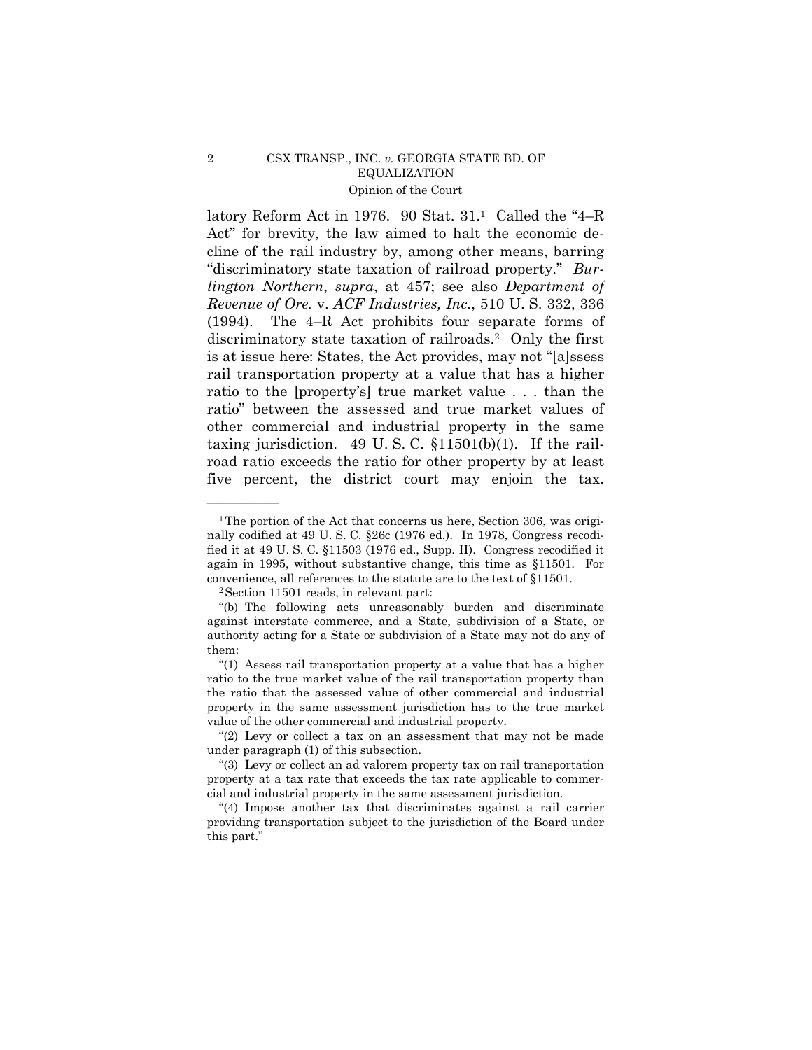latory Reform Act in 1976. 90 Stat. 31.1 Called the "4–R Act" for brevity, the law aimed to halt the economic decline of the rail industry by, among other means, barring "discriminatory state taxation of railroad property." *Burlington Northern*, *supra*, at 457; see also *Department of Revenue of Ore.* v. *ACF Industries, Inc.*, 510 U. S. 332, 336 (1994). The 4–R Act prohibits four separate forms of discriminatory state taxation of railroads.2 Only the first is at issue here: States, the Act provides, may not "[a]ssess rail transportation property at a value that has a higher ratio to the [property's] true market value . . . than the ratio" between the assessed and true market values of other commercial and industrial property in the same taxing jurisdiction. 49 U.S.C.  $\S11501(b)(1)$ . If the railroad ratio exceeds the ratio for other property by at least five percent, the district court may enjoin the tax.

——————

<sup>&</sup>lt;sup>1</sup>The portion of the Act that concerns us here, Section 306, was originally codified at 49 U. S. C. §26c (1976 ed.). In 1978, Congress recodified it at 49 U. S. C. §11503 (1976 ed., Supp. II). Congress recodified it again in 1995, without substantive change, this time as §11501. For convenience, all references to the statute are to the text of §11501. 2Section 11501 reads, in relevant part:

 <sup>&</sup>quot;(b) The following acts unreasonably burden and discriminate against interstate commerce, and a State, subdivision of a State, or authority acting for a State or subdivision of a State may not do any of them:

 <sup>&</sup>quot;(1) Assess rail transportation property at a value that has a higher ratio to the true market value of the rail transportation property than the ratio that the assessed value of other commercial and industrial property in the same assessment jurisdiction has to the true market value of the other commercial and industrial property.

 <sup>&</sup>quot;(2) Levy or collect a tax on an assessment that may not be made under paragraph (1) of this subsection.

 <sup>&</sup>quot;(3) Levy or collect an ad valorem property tax on rail transportation property at a tax rate that exceeds the tax rate applicable to commercial and industrial property in the same assessment jurisdiction.

 <sup>&</sup>quot;(4) Impose another tax that discriminates against a rail carrier providing transportation subject to the jurisdiction of the Board under this part."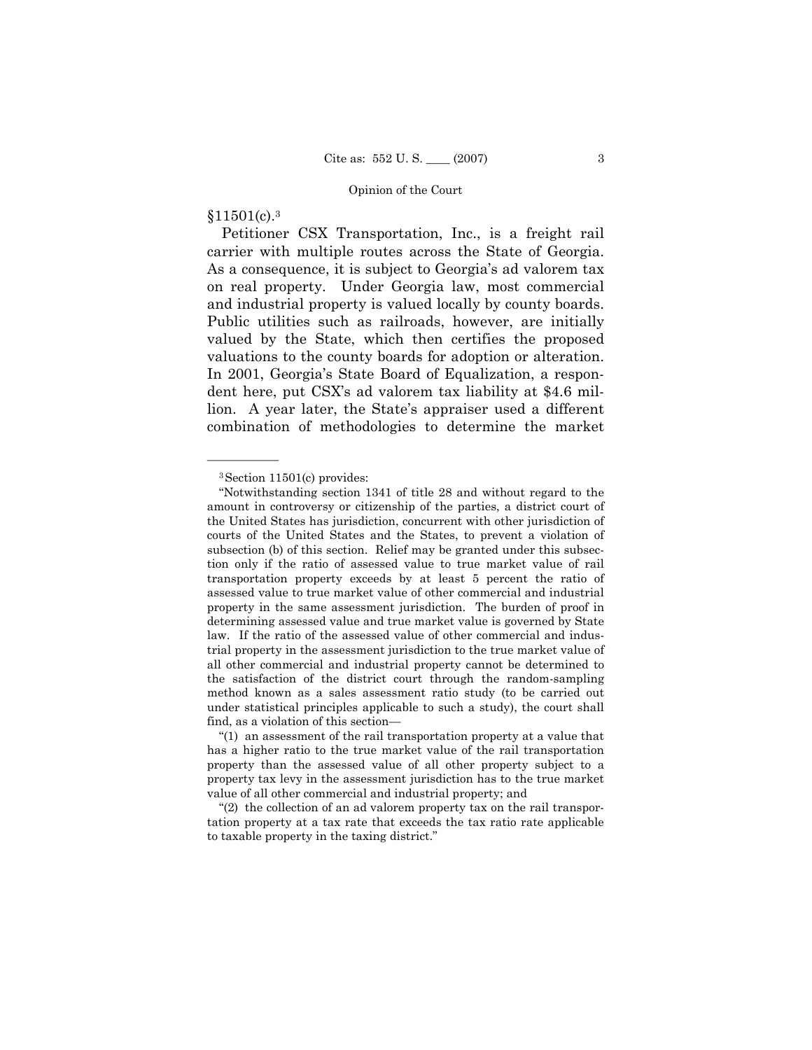# §11501(c).3

——————

 Petitioner CSX Transportation, Inc., is a freight rail carrier with multiple routes across the State of Georgia. As a consequence, it is subject to Georgia's ad valorem tax on real property. Under Georgia law, most commercial and industrial property is valued locally by county boards. Public utilities such as railroads, however, are initially valued by the State, which then certifies the proposed valuations to the county boards for adoption or alteration. In 2001, Georgia's State Board of Equalization, a respondent here, put CSX's ad valorem tax liability at \$4.6 million. A year later, the State's appraiser used a different combination of methodologies to determine the market

<sup>3</sup>Section 11501(c) provides:

 <sup>&</sup>quot;Notwithstanding section 1341 of title 28 and without regard to the amount in controversy or citizenship of the parties, a district court of the United States has jurisdiction, concurrent with other jurisdiction of courts of the United States and the States, to prevent a violation of subsection (b) of this section. Relief may be granted under this subsection only if the ratio of assessed value to true market value of rail transportation property exceeds by at least 5 percent the ratio of assessed value to true market value of other commercial and industrial property in the same assessment jurisdiction. The burden of proof in determining assessed value and true market value is governed by State law. If the ratio of the assessed value of other commercial and industrial property in the assessment jurisdiction to the true market value of all other commercial and industrial property cannot be determined to the satisfaction of the district court through the random-sampling method known as a sales assessment ratio study (to be carried out under statistical principles applicable to such a study), the court shall find, as a violation of this section—

 <sup>&</sup>quot;(1) an assessment of the rail transportation property at a value that has a higher ratio to the true market value of the rail transportation property than the assessed value of all other property subject to a property tax levy in the assessment jurisdiction has to the true market value of all other commercial and industrial property; and

 <sup>&</sup>quot;(2) the collection of an ad valorem property tax on the rail transportation property at a tax rate that exceeds the tax ratio rate applicable to taxable property in the taxing district."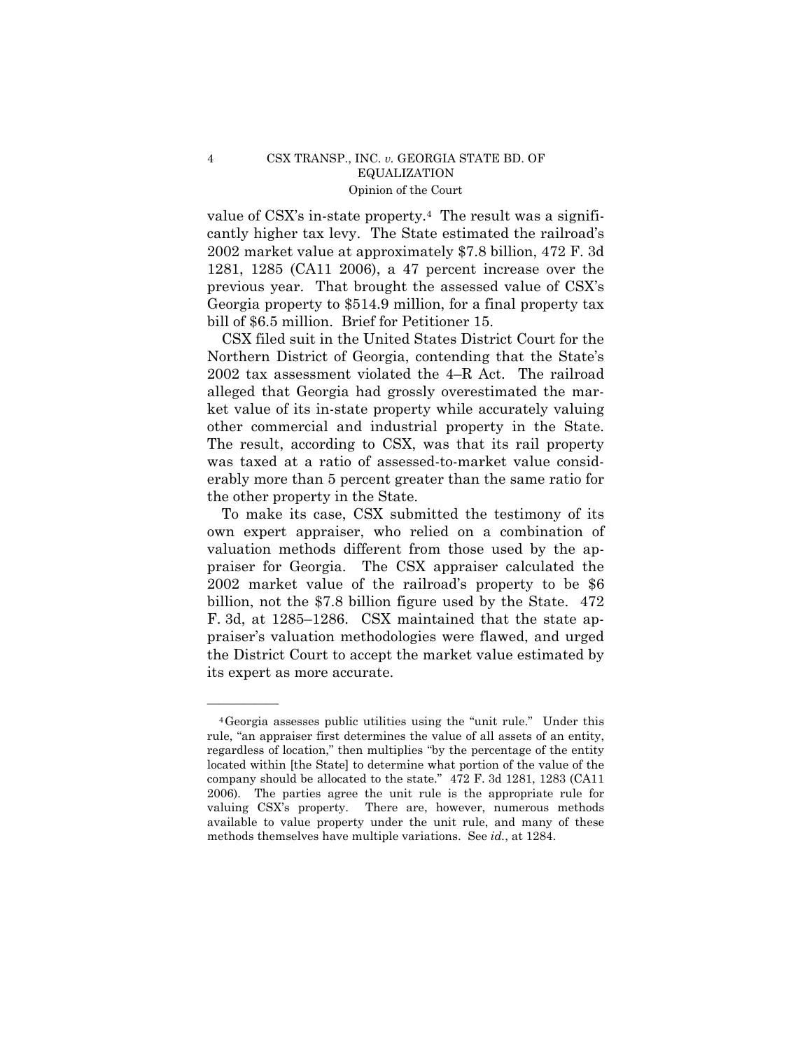value of CSX's in-state property.4 The result was a significantly higher tax levy. The State estimated the railroad's 2002 market value at approximately \$7.8 billion, 472 F. 3d 1281, 1285 (CA11 2006), a 47 percent increase over the previous year. That brought the assessed value of CSX's Georgia property to \$514.9 million, for a final property tax bill of \$6.5 million. Brief for Petitioner 15.

 CSX filed suit in the United States District Court for the Northern District of Georgia, contending that the State's 2002 tax assessment violated the 4–R Act. The railroad alleged that Georgia had grossly overestimated the market value of its in-state property while accurately valuing other commercial and industrial property in the State. The result, according to CSX, was that its rail property was taxed at a ratio of assessed-to-market value considerably more than 5 percent greater than the same ratio for the other property in the State.

 To make its case, CSX submitted the testimony of its own expert appraiser, who relied on a combination of valuation methods different from those used by the appraiser for Georgia. The CSX appraiser calculated the 2002 market value of the railroad's property to be \$6 billion, not the \$7.8 billion figure used by the State. 472 F. 3d, at 1285–1286. CSX maintained that the state appraiser's valuation methodologies were flawed, and urged the District Court to accept the market value estimated by its expert as more accurate.

——————

<sup>4</sup>Georgia assesses public utilities using the "unit rule." Under this rule, "an appraiser first determines the value of all assets of an entity, regardless of location," then multiplies "by the percentage of the entity located within [the State] to determine what portion of the value of the company should be allocated to the state." 472 F. 3d 1281, 1283 (CA11 2006). The parties agree the unit rule is the appropriate rule for valuing CSX's property. There are, however, numerous methods available to value property under the unit rule, and many of these methods themselves have multiple variations. See *id.*, at 1284.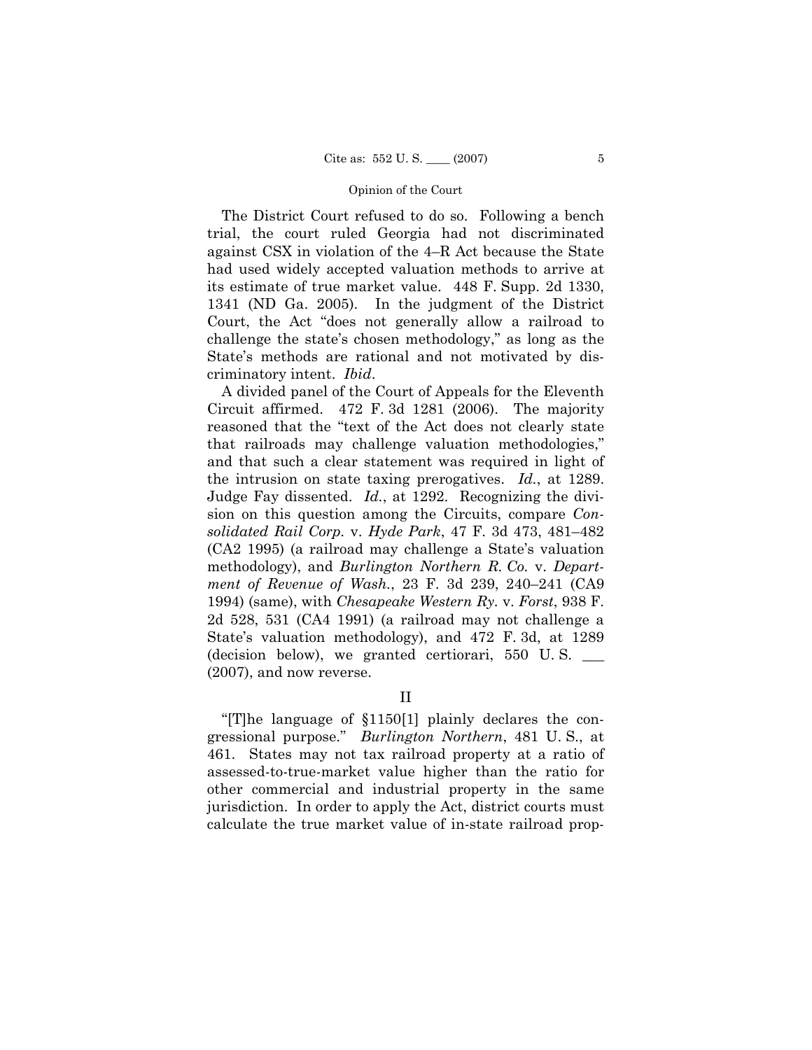The District Court refused to do so. Following a bench trial, the court ruled Georgia had not discriminated against CSX in violation of the 4–R Act because the State had used widely accepted valuation methods to arrive at its estimate of true market value. 448 F. Supp. 2d 1330, 1341 (ND Ga. 2005). In the judgment of the District Court, the Act "does not generally allow a railroad to challenge the state's chosen methodology," as long as the State's methods are rational and not motivated by discriminatory intent. *Ibid*.

 A divided panel of the Court of Appeals for the Eleventh Circuit affirmed. 472 F. 3d 1281 (2006). The majority reasoned that the "text of the Act does not clearly state that railroads may challenge valuation methodologies," and that such a clear statement was required in light of the intrusion on state taxing prerogatives. *Id.*, at 1289. Judge Fay dissented. *Id.*, at 1292. Recognizing the division on this question among the Circuits, compare *Consolidated Rail Corp.* v. *Hyde Park*, 47 F. 3d 473, 481–482 (CA2 1995) (a railroad may challenge a State's valuation methodology), and *Burlington Northern R. Co.* v. *Department of Revenue of Wash.*, 23 F. 3d 239, 240–241 (CA9 1994) (same), with *Chesapeake Western Ry.* v. *Forst*, 938 F. 2d 528, 531 (CA4 1991) (a railroad may not challenge a State's valuation methodology), and 472 F. 3d, at 1289 (decision below), we granted certiorari, 550 U. S. \_\_\_ (2007), and now reverse.

II

 "[T]he language of §1150[1] plainly declares the congressional purpose." *Burlington Northern*, 481 U. S., at 461. States may not tax railroad property at a ratio of assessed-to-true-market value higher than the ratio for other commercial and industrial property in the same jurisdiction. In order to apply the Act, district courts must calculate the true market value of in-state railroad prop-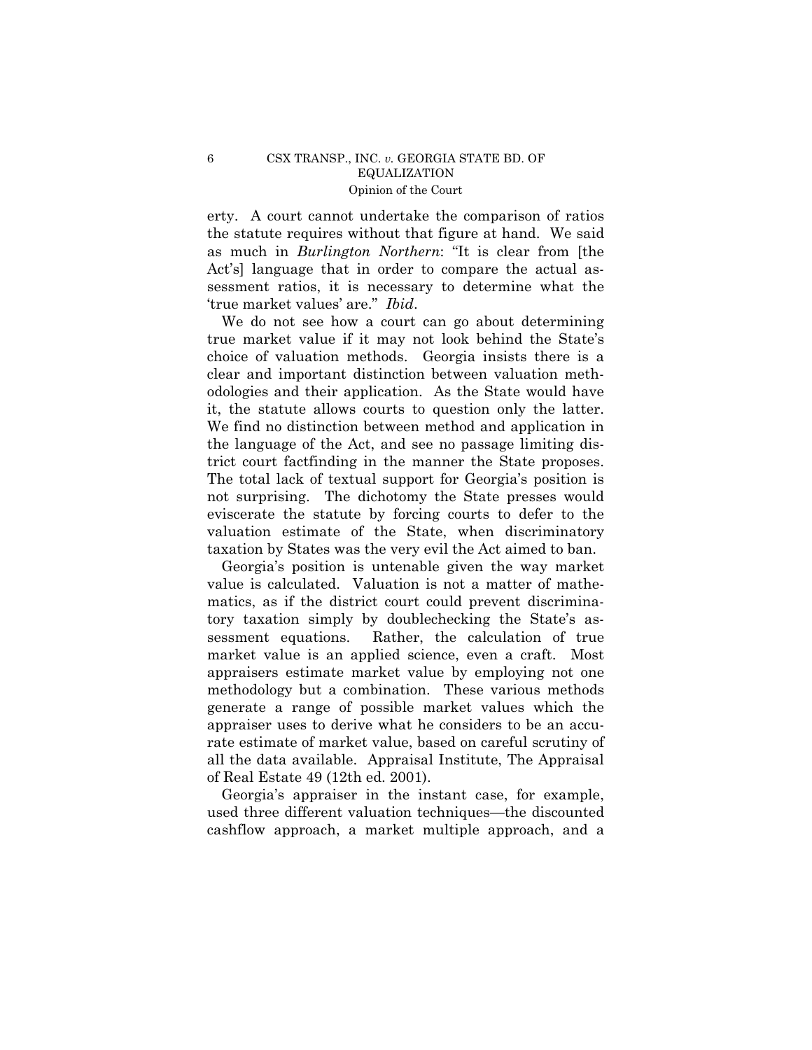erty. A court cannot undertake the comparison of ratios the statute requires without that figure at hand. We said as much in *Burlington Northern*: "It is clear from [the Act's] language that in order to compare the actual assessment ratios, it is necessary to determine what the 'true market values' are." *Ibid*.

 We do not see how a court can go about determining true market value if it may not look behind the State's choice of valuation methods. Georgia insists there is a clear and important distinction between valuation methodologies and their application. As the State would have it, the statute allows courts to question only the latter. We find no distinction between method and application in the language of the Act, and see no passage limiting district court factfinding in the manner the State proposes. The total lack of textual support for Georgia's position is not surprising. The dichotomy the State presses would eviscerate the statute by forcing courts to defer to the valuation estimate of the State, when discriminatory taxation by States was the very evil the Act aimed to ban.

 Georgia's position is untenable given the way market value is calculated. Valuation is not a matter of mathematics, as if the district court could prevent discriminatory taxation simply by doublechecking the State's assessment equations. Rather, the calculation of true market value is an applied science, even a craft. Most appraisers estimate market value by employing not one methodology but a combination. These various methods generate a range of possible market values which the appraiser uses to derive what he considers to be an accurate estimate of market value, based on careful scrutiny of all the data available. Appraisal Institute, The Appraisal of Real Estate 49 (12th ed. 2001).

 Georgia's appraiser in the instant case, for example, used three different valuation techniques—the discounted cashflow approach, a market multiple approach, and a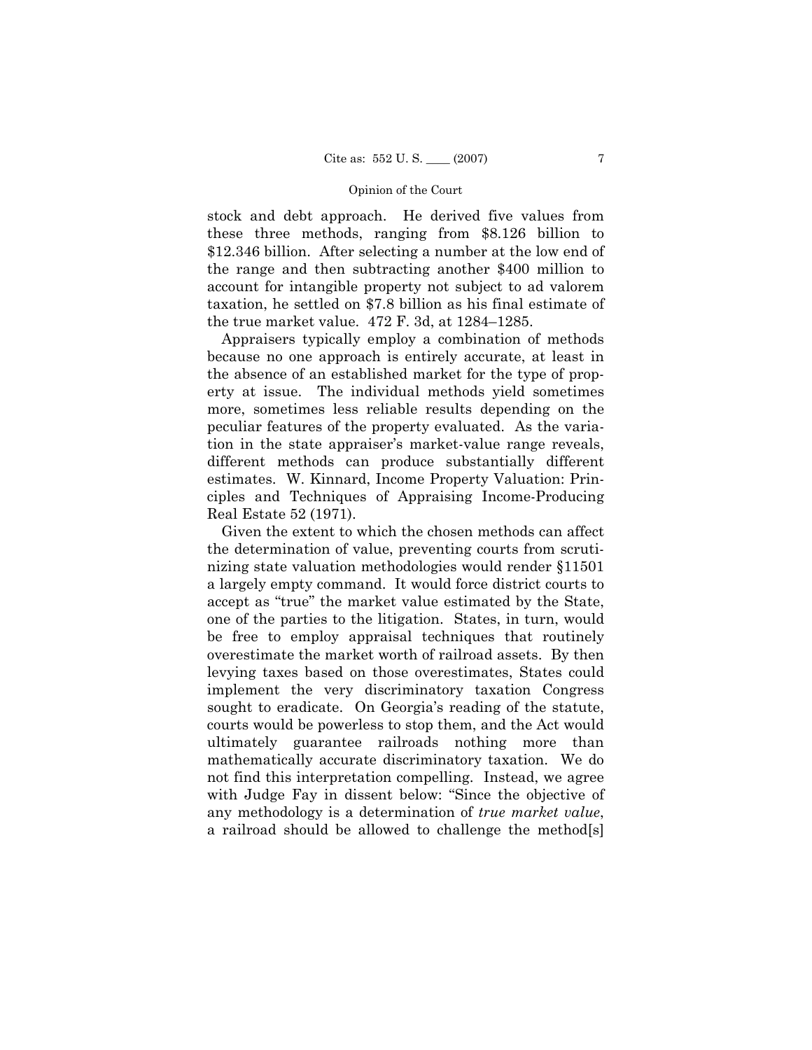stock and debt approach. He derived five values from these three methods, ranging from \$8.126 billion to \$12.346 billion. After selecting a number at the low end of the range and then subtracting another \$400 million to account for intangible property not subject to ad valorem taxation, he settled on \$7.8 billion as his final estimate of the true market value. 472 F. 3d, at 1284–1285.

 Appraisers typically employ a combination of methods because no one approach is entirely accurate, at least in the absence of an established market for the type of property at issue. The individual methods yield sometimes more, sometimes less reliable results depending on the peculiar features of the property evaluated. As the variation in the state appraiser's market-value range reveals, different methods can produce substantially different estimates. W. Kinnard, Income Property Valuation: Principles and Techniques of Appraising Income-Producing Real Estate 52 (1971).

 Given the extent to which the chosen methods can affect the determination of value, preventing courts from scrutinizing state valuation methodologies would render §11501 a largely empty command. It would force district courts to accept as "true" the market value estimated by the State, one of the parties to the litigation. States, in turn, would be free to employ appraisal techniques that routinely overestimate the market worth of railroad assets. By then levying taxes based on those overestimates, States could implement the very discriminatory taxation Congress sought to eradicate. On Georgia's reading of the statute, courts would be powerless to stop them, and the Act would ultimately guarantee railroads nothing more than mathematically accurate discriminatory taxation. We do not find this interpretation compelling. Instead, we agree with Judge Fay in dissent below: "Since the objective of any methodology is a determination of *true market value*, a railroad should be allowed to challenge the method[s]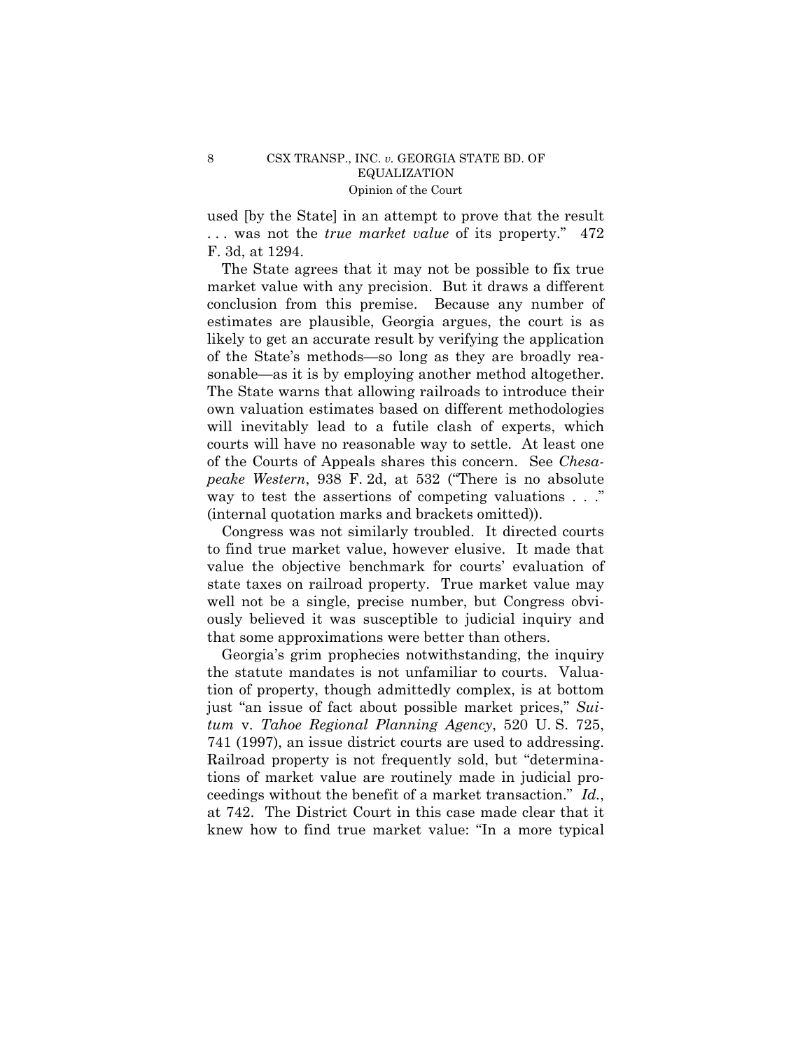used [by the State] in an attempt to prove that the result . . . was not the *true market value* of its property." 472 F. 3d, at 1294.

 The State agrees that it may not be possible to fix true market value with any precision. But it draws a different conclusion from this premise. Because any number of estimates are plausible, Georgia argues, the court is as likely to get an accurate result by verifying the application of the State's methods—so long as they are broadly reasonable—as it is by employing another method altogether. The State warns that allowing railroads to introduce their own valuation estimates based on different methodologies will inevitably lead to a futile clash of experts, which courts will have no reasonable way to settle. At least one of the Courts of Appeals shares this concern. See *Chesapeake Western*, 938 F. 2d, at 532 ("There is no absolute way to test the assertions of competing valuations . . ." (internal quotation marks and brackets omitted)).

 Congress was not similarly troubled. It directed courts to find true market value, however elusive. It made that value the objective benchmark for courts' evaluation of state taxes on railroad property. True market value may well not be a single, precise number, but Congress obviously believed it was susceptible to judicial inquiry and that some approximations were better than others.

 Georgia's grim prophecies notwithstanding, the inquiry the statute mandates is not unfamiliar to courts. Valuation of property, though admittedly complex, is at bottom just "an issue of fact about possible market prices," *Suitum* v. *Tahoe Regional Planning Agency*, 520 U. S. 725, 741 (1997), an issue district courts are used to addressing. Railroad property is not frequently sold, but "determinations of market value are routinely made in judicial proceedings without the benefit of a market transaction." *Id.*, at 742. The District Court in this case made clear that it knew how to find true market value: "In a more typical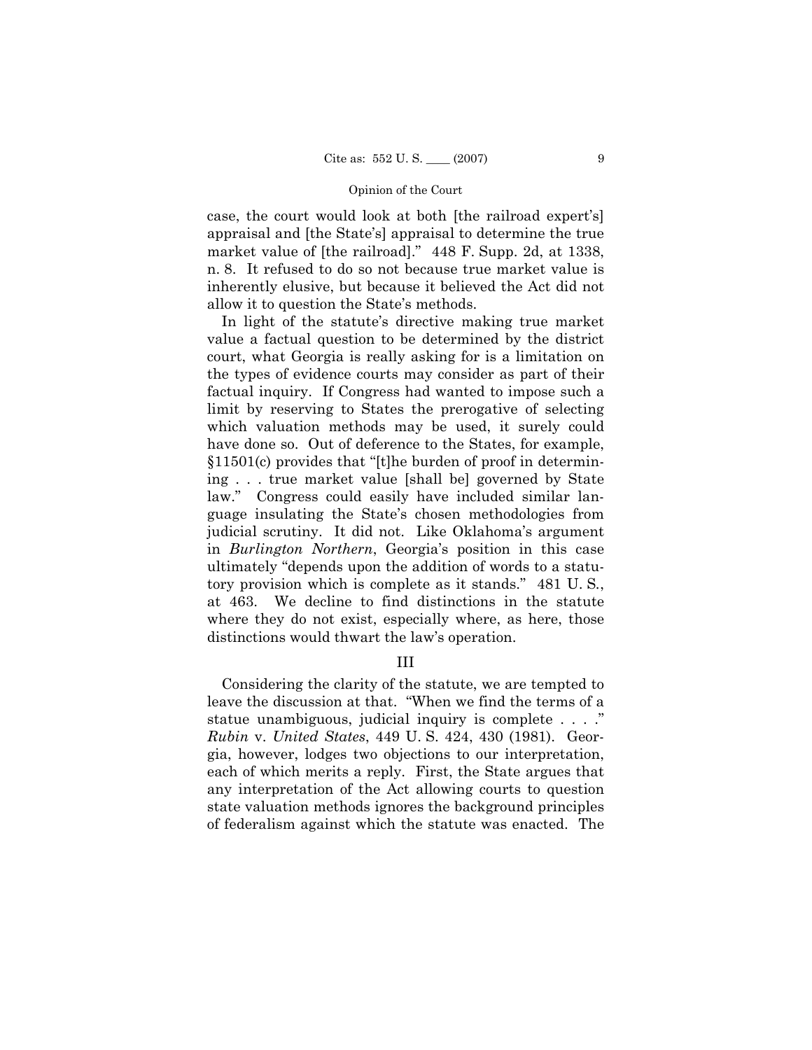case, the court would look at both [the railroad expert's] appraisal and [the State's] appraisal to determine the true market value of [the railroad]." 448 F. Supp. 2d, at 1338, n. 8. It refused to do so not because true market value is inherently elusive, but because it believed the Act did not allow it to question the State's methods.

 In light of the statute's directive making true market value a factual question to be determined by the district court, what Georgia is really asking for is a limitation on the types of evidence courts may consider as part of their factual inquiry. If Congress had wanted to impose such a limit by reserving to States the prerogative of selecting which valuation methods may be used, it surely could have done so. Out of deference to the States, for example, §11501(c) provides that "[t]he burden of proof in determining . . . true market value [shall be] governed by State law." Congress could easily have included similar language insulating the State's chosen methodologies from judicial scrutiny. It did not. Like Oklahoma's argument in *Burlington Northern*, Georgia's position in this case ultimately "depends upon the addition of words to a statutory provision which is complete as it stands." 481 U. S*.*, at 463. We decline to find distinctions in the statute where they do not exist, especially where, as here, those distinctions would thwart the law's operation.

# III

 Considering the clarity of the statute, we are tempted to leave the discussion at that. "When we find the terms of a statue unambiguous, judicial inquiry is complete . . . ." *Rubin* v. *United States*, 449 U. S. 424, 430 (1981). Georgia, however, lodges two objections to our interpretation, each of which merits a reply. First, the State argues that any interpretation of the Act allowing courts to question state valuation methods ignores the background principles of federalism against which the statute was enacted. The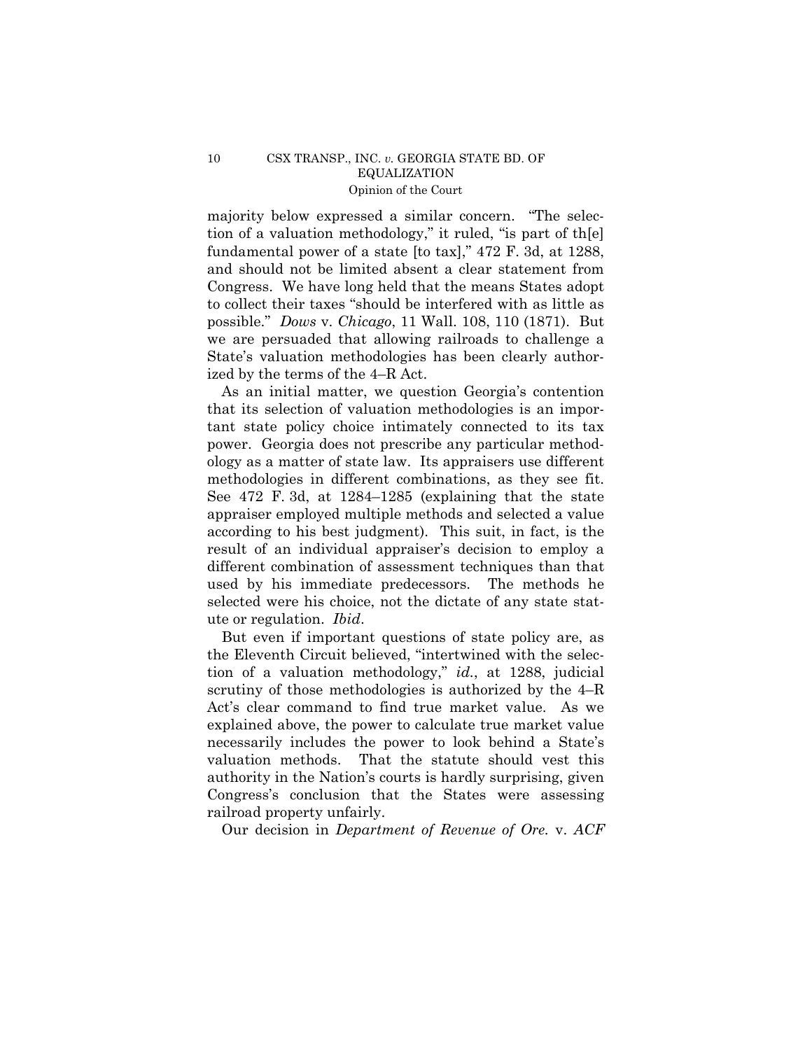majority below expressed a similar concern. "The selection of a valuation methodology," it ruled, "is part of th[e] fundamental power of a state [to tax]," 472 F. 3d, at 1288, and should not be limited absent a clear statement from Congress. We have long held that the means States adopt to collect their taxes "should be interfered with as little as possible." *Dows* v. *Chicago*, 11 Wall. 108, 110 (1871). But we are persuaded that allowing railroads to challenge a State's valuation methodologies has been clearly authorized by the terms of the 4–R Act.

 As an initial matter, we question Georgia's contention that its selection of valuation methodologies is an important state policy choice intimately connected to its tax power. Georgia does not prescribe any particular methodology as a matter of state law. Its appraisers use different methodologies in different combinations, as they see fit. See 472 F. 3d, at 1284–1285 (explaining that the state appraiser employed multiple methods and selected a value according to his best judgment). This suit, in fact, is the result of an individual appraiser's decision to employ a different combination of assessment techniques than that used by his immediate predecessors. The methods he selected were his choice, not the dictate of any state statute or regulation. *Ibid*.

 But even if important questions of state policy are, as the Eleventh Circuit believed, "intertwined with the selection of a valuation methodology," *id.*, at 1288, judicial scrutiny of those methodologies is authorized by the 4–R Act's clear command to find true market value. As we explained above, the power to calculate true market value necessarily includes the power to look behind a State's valuation methods. That the statute should vest this authority in the Nation's courts is hardly surprising, given Congress's conclusion that the States were assessing railroad property unfairly.

Our decision in *Department of Revenue of Ore.* v. *ACF*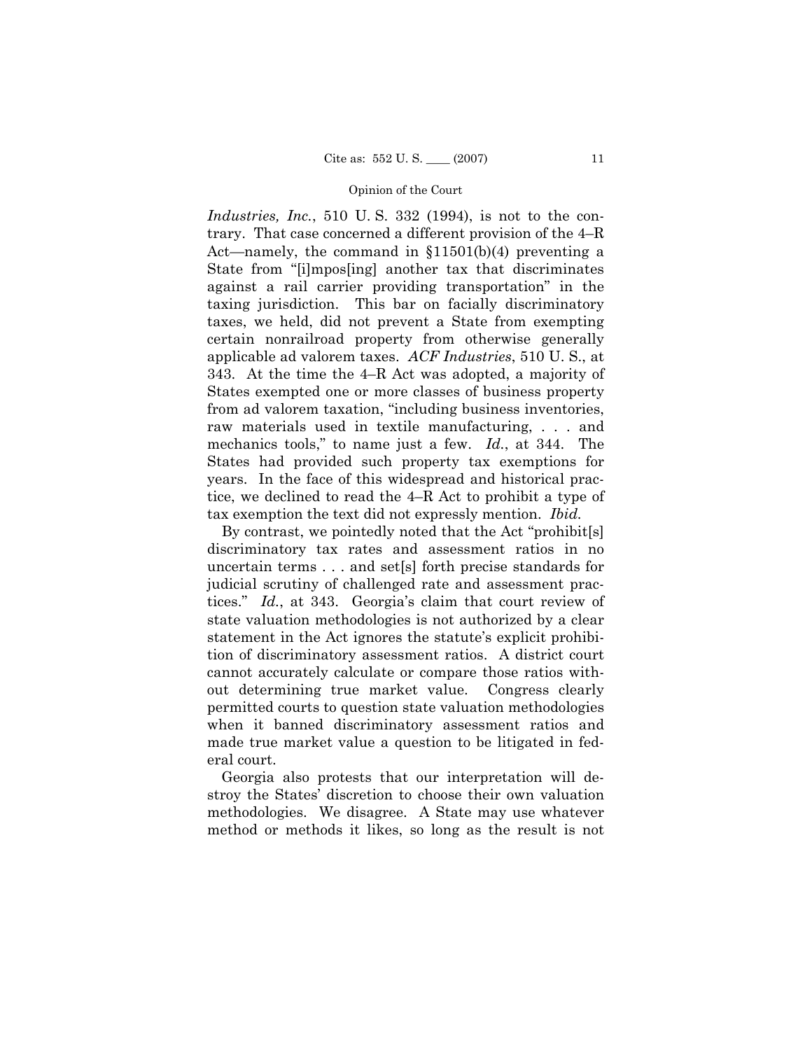*Industries, Inc.*, 510 U. S. 332 (1994), is not to the contrary. That case concerned a different provision of the 4–R Act—namely, the command in §11501(b)(4) preventing a State from "[i]mpos[ing] another tax that discriminates against a rail carrier providing transportation" in the taxing jurisdiction. This bar on facially discriminatory taxes, we held, did not prevent a State from exempting certain nonrailroad property from otherwise generally applicable ad valorem taxes. *ACF Industries*, 510 U. S., at 343. At the time the 4–R Act was adopted, a majority of States exempted one or more classes of business property from ad valorem taxation, "including business inventories, raw materials used in textile manufacturing, . . . and mechanics tools," to name just a few. *Id.*, at 344. The States had provided such property tax exemptions for years. In the face of this widespread and historical practice, we declined to read the 4–R Act to prohibit a type of tax exemption the text did not expressly mention. *Ibid.*

 By contrast, we pointedly noted that the Act "prohibit[s] discriminatory tax rates and assessment ratios in no uncertain terms . . . and set[s] forth precise standards for judicial scrutiny of challenged rate and assessment practices." *Id.*, at 343. Georgia's claim that court review of state valuation methodologies is not authorized by a clear statement in the Act ignores the statute's explicit prohibition of discriminatory assessment ratios. A district court cannot accurately calculate or compare those ratios without determining true market value. Congress clearly permitted courts to question state valuation methodologies when it banned discriminatory assessment ratios and made true market value a question to be litigated in federal court.

 Georgia also protests that our interpretation will destroy the States' discretion to choose their own valuation methodologies. We disagree. A State may use whatever method or methods it likes, so long as the result is not